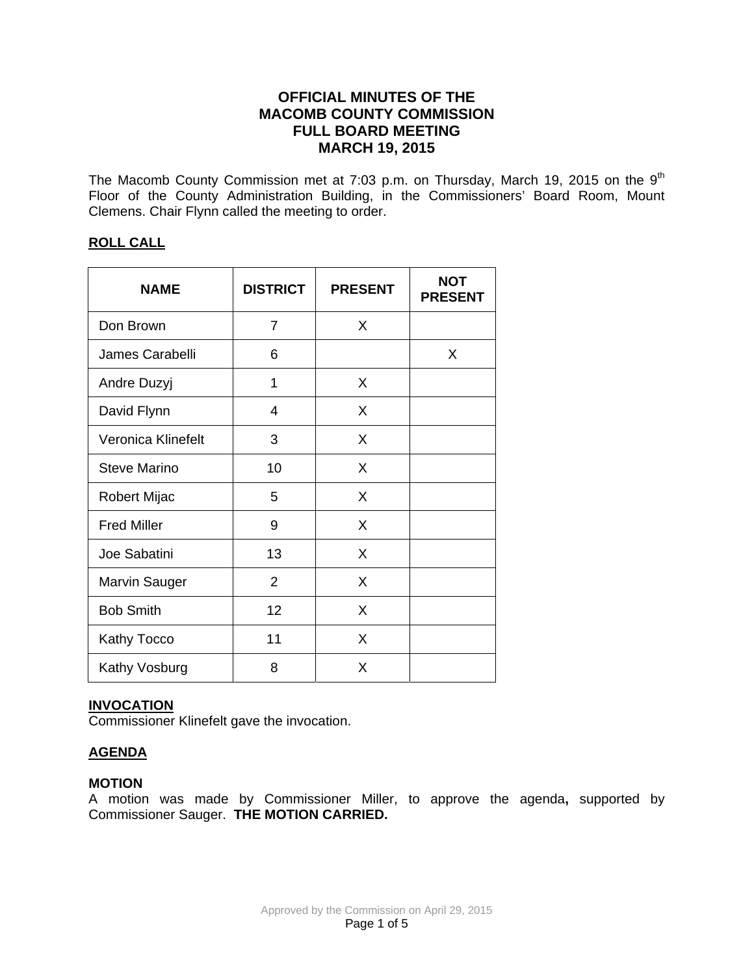# **OFFICIAL MINUTES OF THE MACOMB COUNTY COMMISSION FULL BOARD MEETING MARCH 19, 2015**

The Macomb County Commission met at 7:03 p.m. on Thursday, March 19, 2015 on the  $9<sup>th</sup>$ Floor of the County Administration Building, in the Commissioners' Board Room, Mount Clemens. Chair Flynn called the meeting to order.

# **ROLL CALL**

| <b>NAME</b>          | <b>DISTRICT</b> | <b>PRESENT</b> | <b>NOT</b><br><b>PRESENT</b> |
|----------------------|-----------------|----------------|------------------------------|
| Don Brown            | 7               | X              |                              |
| James Carabelli      | 6               |                | X                            |
| Andre Duzyj          | 1               | X              |                              |
| David Flynn          | 4               | X              |                              |
| Veronica Klinefelt   | 3               | X              |                              |
| <b>Steve Marino</b>  | 10              | X              |                              |
| <b>Robert Mijac</b>  | 5               | X              |                              |
| <b>Fred Miller</b>   | 9               | X              |                              |
| Joe Sabatini         | 13              | X              |                              |
| <b>Marvin Sauger</b> | $\overline{2}$  | X              |                              |
| <b>Bob Smith</b>     | 12              | X              |                              |
| Kathy Tocco          | 11              | X              |                              |
| Kathy Vosburg        | 8               | X              |                              |

# **INVOCATION**

Commissioner Klinefelt gave the invocation.

# **AGENDA**

### **MOTION**

A motion was made by Commissioner Miller, to approve the agenda**,** supported by Commissioner Sauger. **THE MOTION CARRIED.**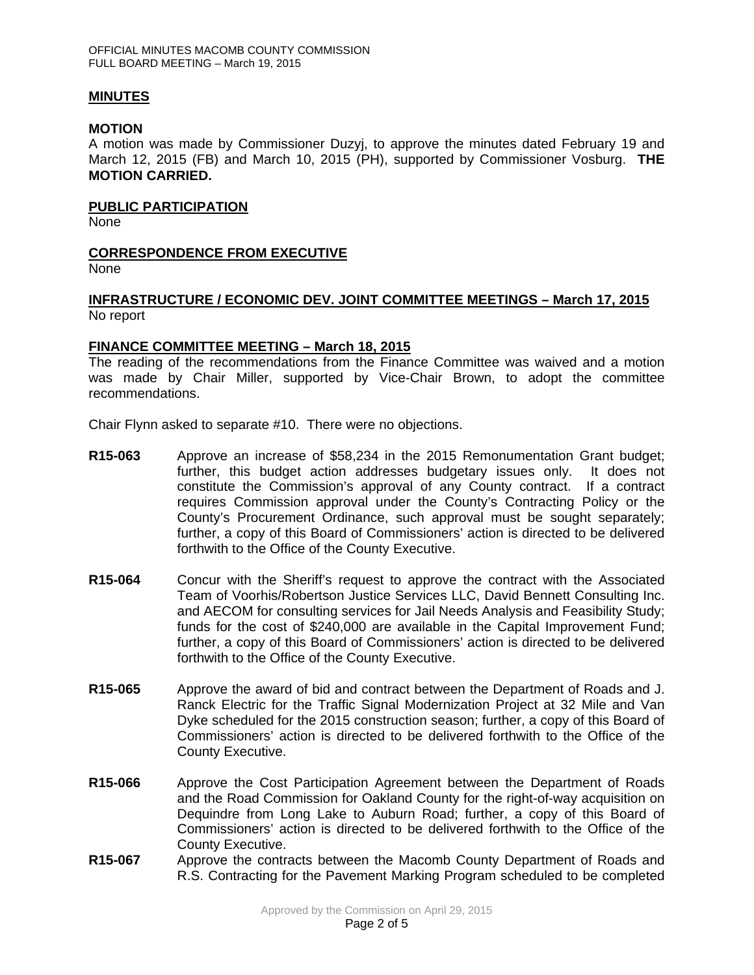### **MINUTES**

#### **MOTION**

A motion was made by Commissioner Duzyj, to approve the minutes dated February 19 and March 12, 2015 (FB) and March 10, 2015 (PH), supported by Commissioner Vosburg. **THE MOTION CARRIED.** 

#### **PUBLIC PARTICIPATION**

None

## **CORRESPONDENCE FROM EXECUTIVE**

None

### **INFRASTRUCTURE / ECONOMIC DEV. JOINT COMMITTEE MEETINGS – March 17, 2015** No report

### **FINANCE COMMITTEE MEETING – March 18, 2015**

The reading of the recommendations from the Finance Committee was waived and a motion was made by Chair Miller, supported by Vice-Chair Brown, to adopt the committee recommendations.

Chair Flynn asked to separate #10. There were no objections.

- **R15-063** Approve an increase of \$58,234 in the 2015 Remonumentation Grant budget; further, this budget action addresses budgetary issues only. It does not constitute the Commission's approval of any County contract. If a contract requires Commission approval under the County's Contracting Policy or the County's Procurement Ordinance, such approval must be sought separately; further, a copy of this Board of Commissioners' action is directed to be delivered forthwith to the Office of the County Executive.
- **R15-064** Concur with the Sheriff's request to approve the contract with the Associated Team of Voorhis/Robertson Justice Services LLC, David Bennett Consulting Inc. and AECOM for consulting services for Jail Needs Analysis and Feasibility Study; funds for the cost of \$240,000 are available in the Capital Improvement Fund; further, a copy of this Board of Commissioners' action is directed to be delivered forthwith to the Office of the County Executive.
- **R15-065** Approve the award of bid and contract between the Department of Roads and J. Ranck Electric for the Traffic Signal Modernization Project at 32 Mile and Van Dyke scheduled for the 2015 construction season; further, a copy of this Board of Commissioners' action is directed to be delivered forthwith to the Office of the County Executive.
- **R15-066** Approve the Cost Participation Agreement between the Department of Roads and the Road Commission for Oakland County for the right-of-way acquisition on Dequindre from Long Lake to Auburn Road; further, a copy of this Board of Commissioners' action is directed to be delivered forthwith to the Office of the County Executive.
- **R15-067** Approve the contracts between the Macomb County Department of Roads and R.S. Contracting for the Pavement Marking Program scheduled to be completed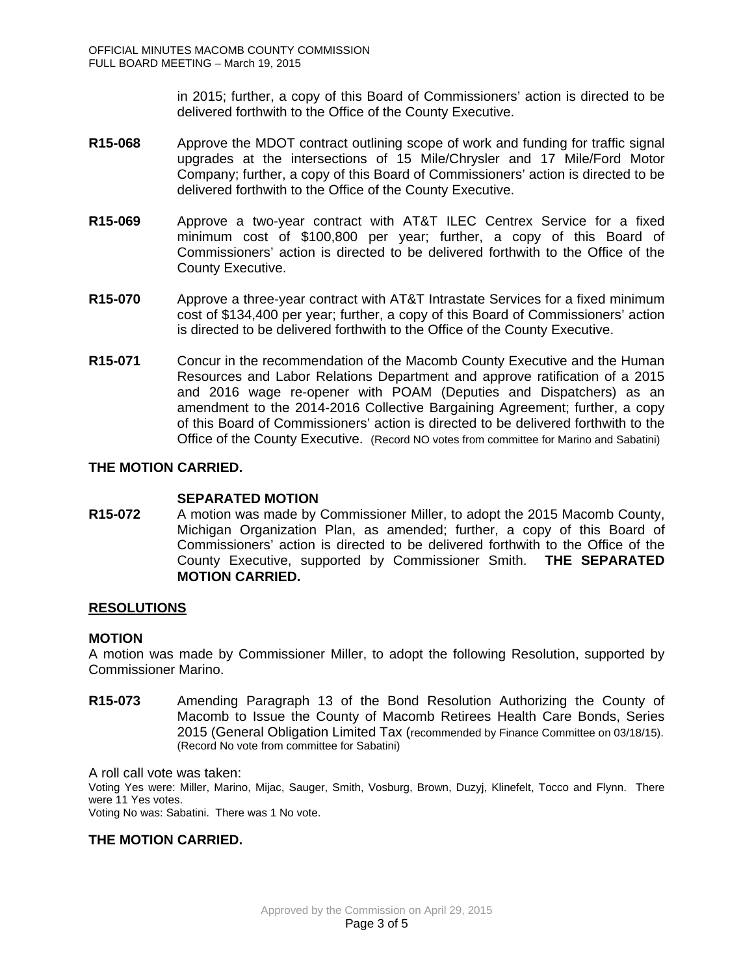in 2015; further, a copy of this Board of Commissioners' action is directed to be delivered forthwith to the Office of the County Executive.

- **R15-068** Approve the MDOT contract outlining scope of work and funding for traffic signal upgrades at the intersections of 15 Mile/Chrysler and 17 Mile/Ford Motor Company; further, a copy of this Board of Commissioners' action is directed to be delivered forthwith to the Office of the County Executive.
- **R15-069** Approve a two-year contract with AT&T ILEC Centrex Service for a fixed minimum cost of \$100,800 per year; further, a copy of this Board of Commissioners' action is directed to be delivered forthwith to the Office of the County Executive.
- **R15-070** Approve a three-year contract with AT&T Intrastate Services for a fixed minimum cost of \$134,400 per year; further, a copy of this Board of Commissioners' action is directed to be delivered forthwith to the Office of the County Executive.
- **R15-071** Concur in the recommendation of the Macomb County Executive and the Human Resources and Labor Relations Department and approve ratification of a 2015 and 2016 wage re-opener with POAM (Deputies and Dispatchers) as an amendment to the 2014-2016 Collective Bargaining Agreement; further, a copy of this Board of Commissioners' action is directed to be delivered forthwith to the Office of the County Executive. (Record NO votes from committee for Marino and Sabatini)

# **THE MOTION CARRIED.**

### **SEPARATED MOTION**

**R15-072** A motion was made by Commissioner Miller, to adopt the 2015 Macomb County, Michigan Organization Plan, as amended; further, a copy of this Board of Commissioners' action is directed to be delivered forthwith to the Office of the County Executive, supported by Commissioner Smith. **THE SEPARATED MOTION CARRIED.** 

### **RESOLUTIONS**

#### **MOTION**

A motion was made by Commissioner Miller, to adopt the following Resolution, supported by Commissioner Marino.

**R15-073** Amending Paragraph 13 of the Bond Resolution Authorizing the County of Macomb to Issue the County of Macomb Retirees Health Care Bonds, Series 2015 (General Obligation Limited Tax (recommended by Finance Committee on 03/18/15). (Record No vote from committee for Sabatini)

A roll call vote was taken: Voting Yes were: Miller, Marino, Mijac, Sauger, Smith, Vosburg, Brown, Duzyj, Klinefelt, Tocco and Flynn. There were 11 Yes votes. Voting No was: Sabatini. There was 1 No vote.

### **THE MOTION CARRIED.**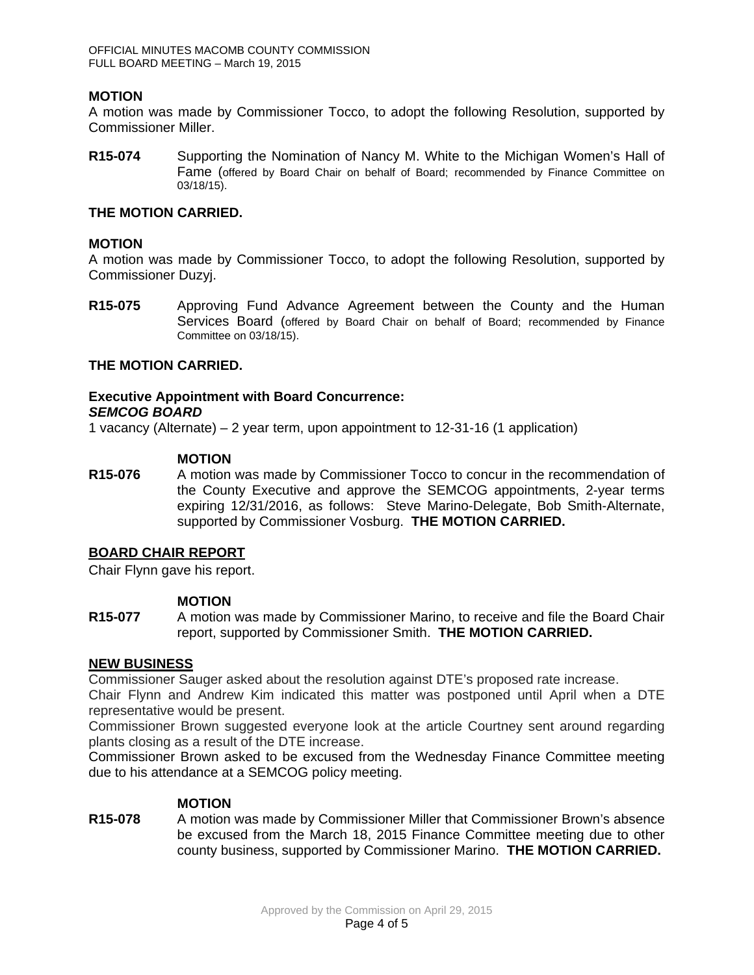## **MOTION**

A motion was made by Commissioner Tocco, to adopt the following Resolution, supported by Commissioner Miller.

**R15-074** Supporting the Nomination of Nancy M. White to the Michigan Women's Hall of Fame (offered by Board Chair on behalf of Board; recommended by Finance Committee on 03/18/15).

### **THE MOTION CARRIED.**

## **MOTION**

A motion was made by Commissioner Tocco, to adopt the following Resolution, supported by Commissioner Duzyj.

**R15-075** Approving Fund Advance Agreement between the County and the Human Services Board (offered by Board Chair on behalf of Board; recommended by Finance Committee on 03/18/15).

## **THE MOTION CARRIED.**

#### **Executive Appointment with Board Concurrence:**  *SEMCOG BOARD*

1 vacancy (Alternate) – 2 year term, upon appointment to 12-31-16 (1 application)

### **MOTION**

**R15-076** A motion was made by Commissioner Tocco to concur in the recommendation of the County Executive and approve the SEMCOG appointments, 2-year terms expiring 12/31/2016, as follows: Steve Marino-Delegate, Bob Smith-Alternate, supported by Commissioner Vosburg. **THE MOTION CARRIED.** 

# **BOARD CHAIR REPORT**

Chair Flynn gave his report.

### **MOTION**

**R15-077** A motion was made by Commissioner Marino, to receive and file the Board Chair report, supported by Commissioner Smith. **THE MOTION CARRIED.**

### **NEW BUSINESS**

Commissioner Sauger asked about the resolution against DTE's proposed rate increase.

Chair Flynn and Andrew Kim indicated this matter was postponed until April when a DTE representative would be present.

Commissioner Brown suggested everyone look at the article Courtney sent around regarding plants closing as a result of the DTE increase.

Commissioner Brown asked to be excused from the Wednesday Finance Committee meeting due to his attendance at a SEMCOG policy meeting.

### **MOTION**

**R15-078** A motion was made by Commissioner Miller that Commissioner Brown's absence be excused from the March 18, 2015 Finance Committee meeting due to other county business, supported by Commissioner Marino. **THE MOTION CARRIED.**